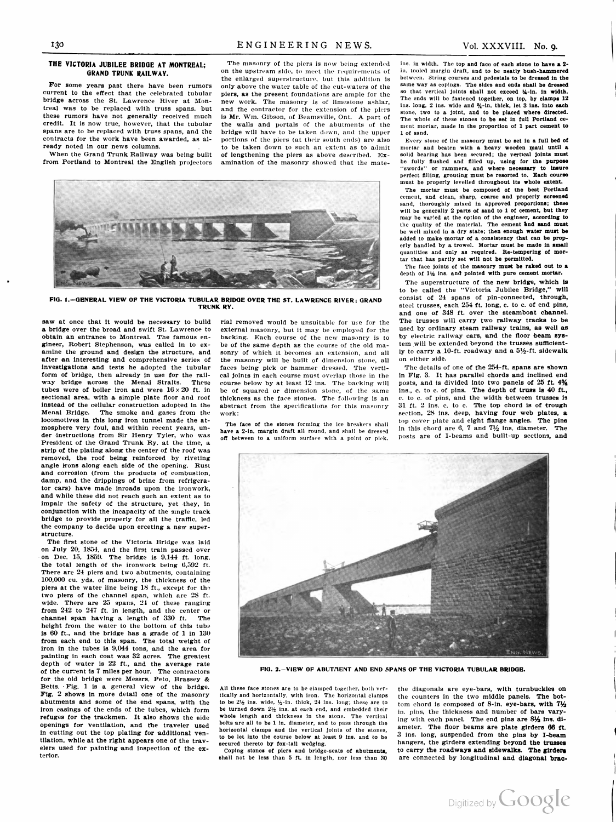## THE VICTORIA JUBILEE BRIDGE AT MONTREAL; GRAND TRUNK RAILWAY.

For some years past there have been rumors current to the effect that the celebrated tubular bridge across the St. Lawrence River at Mon treal was to be replaced with truss spans, but these rumors have not generally received much credit. It is now true, however, that the tubular spans are to be replaced with truss spans, and the contracts for the work have been awarded, as al ready noted in our news columns.

When the Grand Trunk Railway was being built from Portland to Montreal the English projectors

The masonry of the piers is now being extended on the upstream side, to meet the requirements of the enlarged superstructure, but this addition is only above the water table of the cut-waters of the piers, as the present foundations are ample for the new work. The masonry is of limestone ashlar, and the contractor for the extension of the piers is Mr. Wm. Gibson, of Beamsville, Ont. A part of the walls and portals of the abutments of the bridge will have to be taken down, and the upper portions of the piers (at their south ends) are also to be taken down to such an extent as to admit of lengthening the piers as above described. Ex amination of the masonry showed that the mate



FIG. 1.-GENERAL VIEW OF THE VICTORIA TUBULAR BRIDGE OVER THE ST. LAWRENCE RIVER; GRAND TRUNK RY.

saw at once that it would be necessary to build a bridge over the broad and swift St. Lawrence to obtain an entrance to Montreal. The famous en gineer, Robert Stephenson, was called in to ex amine the ground and design the structure, and after an interesting and comprehensive series of investigations and tests he adopted the tubular form of bridge, then already in use for the rail way bridge across the Menai Straits. These tubes were of boiler iron and were  $16 \times 20$  ft. in sectional area, with a simple plate floor and roof instead of the cellular construction adopted in the Menai Bridge. The smoke and gases from the locomotives in this long iron tunnel made the atmosphere very foul, and within recent years, un der instructions from Sir Henry Tyler, who was President of the Grand Trunk Ry. at the time, a strip of the plating along the center of the roof was removed, the roof being reinforced by riveting angle irons along each side of the opening. Rust and corrosion (from the products of combustion, damp, and the drippings of brine from refrigerator cars) have made inroads upon the ironwork, and while these did not reach such an extent as to impair the safety of the structure, yet they, in conjunction with the incapacity of the single track bridge to provide properly for all the traffic, led the company to decide upon erceting a new super structure.

The first stone of the Victoria Bridge was laid on July 20, 1854, and the first train passed over on Dec. 15, 1859. The bridge is 9,144 ft. long, the total length of the ironwork being 6,592 ft. There are 24 piers and two abutments, containing 100,000 cu. yds. of masonry, the thickness of the piers at the water line being 18 ft., except for the two piers of the channel span, which are 28 ft. wide. There are 25 spans, 21 of these ranging from 242 to 247 ft. in length, and the center or channel span having a length of 330 ft. The height from the water to the bottom of this tube is 60 ft., and the bridge has a grade of 1 in 130 from each end to this span. The total weight of iron in the tubes is 9,044 tons, and the area for painting in each coat was 32 acres. The greatest depth of water is 22 ft., and the average rate of the current is 7 miles per hour. The contractors for the old bridge were Messrs. Peto, Brassey & Betts. Fig. 1 is a general view of the bridge. Fig. 2 shows in more detail one of the masonry abutments and some of the end spans, with the iron casings of the ends of the tubes, which form refuges for the trackmen. It also shows the side openings for ventilation, and the traveler used in cutting out the top plating for additional ven tilation, while at the right appears one of the trav elers used for painting and inspection of the ex terior.

rial removed would be unsuitable for use for the external masonry, but it may be employed for the backing. Each course of the new masonry is to be of the same depth as the course of the old ma sonry of which it becomes an extension, and all the masonry will be built of dimension stone, all faces being pick or hammer dressed. The verti cal joints in each course must overlap those in the course below by at least 12 ins. The backing will be of squared or dimension stone, of the same thickness as the face stones. The following is an abstract from the specifications for this masonry work:

The face of the stones forming the ice breakers shall have a 2-in. margin draft all round, and shall be dressed off between to a uniform surface with a point or pick.

ins. in width. The top and face of each stone to have <sup>a</sup> 2 in. tooled margin draft, and to be neatly bush-hammered between. String courses and pedestals to be dressed in the same way as copings. The sides and ends shall be dressed so that vertical joints shall not exceed 14-in. in width. The ends will be fastened together, on top, by clamps 12 ins. long,  $2$  ins. wide and  $\frac{3}{4}$ -in. thick, let  $3$  ins. into each stone, two to a joint, and to be placed where directed. The whole of these stones to be set in full Portland cement mortar, made in the proportion of 1 part cement to 1 of sand.

Every stone of the masonry must be set in a full bed of mortar and beaten with a heavy wooden maul until a solid bearing has been secured; the vertical joints must be fully flushed and filled up, using for the purpose<br>"swords" or rammers, and where necessary to insure perfect filling, grouting must be resorted to. Each course must be properly levelled throughout its whole extent.

The mortar must be composed of the best Portland cement, and clean, sharp, coarse and properly screened sand, thoroughly mixed in approved proportions; these will be generally 2 parts of sand to 1 of cement, but they may be varied at the option of the engineer, according to the quality of the material. The cement and sand must be well mixed in a dry state; then enough water must be added to make mortar of a consistency that can be prop erly handled by a trowel. Mortar must be made in small quantities and only as required. Re-tempering of mor tar that has partly set will not be permitted.

The face joints of the masonry must be raked out to a depth of  $1\frac{1}{2}$  ins. and pointed with pure cement mortar.

The superstructure of the new bridge, which is to be called the "Victoria Jubilee Bridge," will consist of 24 spans of pin-connected, through, steel trusses, each 254 ft. long, c. to c. of end pins, and one of 348 ft. over the steamboat channel. The trusses will carry two railway tracks to be used by ordinary steam railway trains, as well as by electric railway cars, and the floor beam sys tem will be extended beyond the trusses sufficiently to carry a 10-ft. roadway and a  $5\frac{1}{2}$ -ft. sidewalk on either side.

The details of one of the 254-ft. spans are shown in Fig. 3. It has parallel chords and inclined end posts, and is divided into two panels of  $25$  ft.  $4\frac{9}{4}$ ins., c. to c. of pins. The depth of truss is 40 ft., c. to c. of pins, and the width between trusses is 31 ft. 2 ins. C. to c. The top chord is of trough section, 28 ins. deep, having four web plates, a top cover plate and eight flange angles. The pins in this chord are  $6, 7$  and  $7\frac{1}{2}$  ins. diameter. The posts are of I-beams and built-up sections, and



FIG. 2.-VIEW OF ABUTNENT AND END SPANS OF THE VICTORIA TUBULAR BRIDGE.

All these face stones are to be clamped together, both ver tically and horizontally, with iron. The horizontal clamps<br>to be  $2\frac{1}{2}$  ins. wide,  $\frac{1}{2}$ -in. thick, 24 ins. long; these are to be turned down  $2\frac{1}{2}$  ins. at each end, and embedded their whole length and thickness in the stone. The vertical bolts are all to be 1 in. diameter, and to pass through the horizontal clamps and the vertical joints of the stones, to be let into the course below at least 9 ins. and to be secured thereto by fox-tail wedging.

Coping stones of piers and bridge-seats of abutments, shall not be less than 5 ft. in length, nor less than 30

the diagonals are eye-bars, with turnbuckles on the counters in the two middle panels. The bot tom chord is composed of 8-in. eye-bars, with  $7\frac{1}{2}$ in. pins, the thickness and number of bars varying with each panel. The end pins are 8% ins. di ameter. The floor beams are plate girders 66 ft. 3 ins. long, suspended from the pins by I-beam hangers, the girders extending beyond the trusses to carry the roadways and sidewalks. The girders are connected by longitudinal and diagonal brac-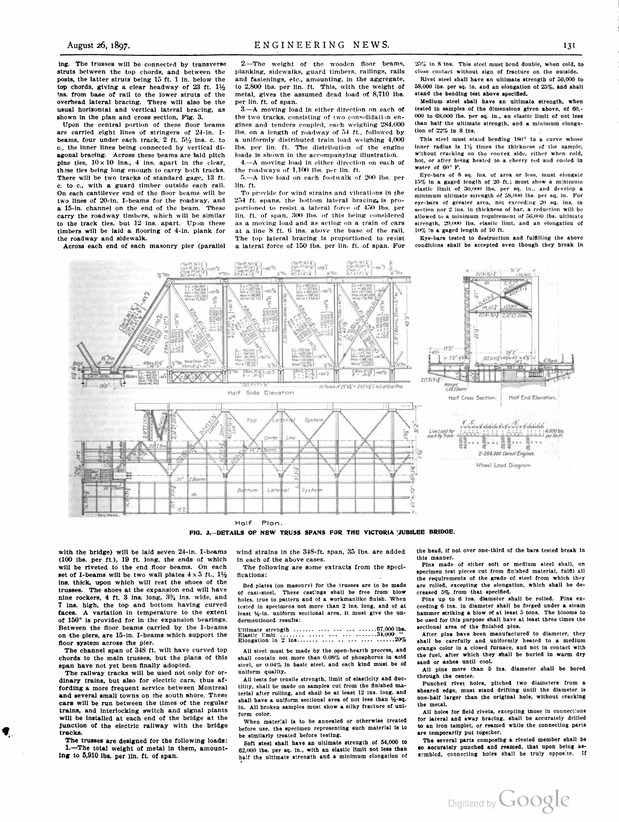ing. The trusses will be connected by transverse struts between the top chords, and between the posts, the latter struts being 15 ft. 1 in. below the top chords, giving a clear headway of  $23$  ft.  $1\frac{1}{2}$ ins. from base of rail to the lower struts of the overhead lateral bracing. There will also be the usual horizontal and vertical lateral bracing, as shown in the plan and cross section, Fig. 3.

Upon the central portion of these floor beams are carried eight lines of stringers of 24-in. I beams, four under each track,  $2$  ft.  $5\frac{1}{2}$  ins. c. to c., the inner lines being connected by vertical di agonal bracing. Across these beams are laid pitch pine ties,  $10 \times 10$  ins., 4 ins. apart in the clear, these ties being long enough to carry both tracks. There will be two tracks of standard gage, 13 ft. c. to c., with a guard timber outside each rail. On each cantilever end of the floor beams will be two lines of 20-in. I-beams for the roadway, and<br>a 15-in. channel on the end of the beam. These a 15-in. channel on the end of the beam. carry the roadway timbers, which will be similar to the track ties, but 12 ins: apart. Upon these timbers will be laid a flooring of 4-in. plank for the roadway and sidewalk.

Across each end of each masonry pier (parallel

2.—The weight of the wooden floor beams, planking, sidewalks, guard timbers, railings, rails and fastenings, etc., amounting, in the aggregate, to 2,800 lbs. per lin.. ft. This, with the weight of metal, gives the assumed dead load of 8,710 lbs. per lin. ft. of span.

3.—A moving load in either direction on each of the two tracks, consisting of two consolidation en gines and tenders coupled, each weighing 284,000 lbs. on a length of roadway of 54 ft., followed by a uniformly distributed train load weighing 4,000 lbs. per lin. ft. The distribution of the engine loads is shown in the accompanying illustration. 4.—A moving load in either direction on each of

the roadways of 1,100 lbs. per lin. ft. 5.—A live load on each footwalk of 200 lbs. per lin. ft.

To provide for wind strains and vibrations in the 2.54 ft. spans, the bottom lateral bracing, is pro portioned to resist a lateral force of 450 lbs. lin. ft. of span. 300 lbs. of this being considered as a moving load and as acting on a train of cars at a line S ft. 6 ins. above the base of the rail. The top lateral bracing is proportioned to resist a lateral force of 150 lbs. per lin. ft. of span. For Ipon these as a moving load and as acting on a train of c<br>
in. plank for at a line S ft. 6 ins. above the base of the 1<br>
The top lateral bracing is proportioned to re<br>
pier (parallel a lateral force of 150 lbs. per lin.

25% in S ins. This steel must bend double, when cold, to close contact without sign of fracture on the outside.

Rivet steel shall have an ultimate strength of 50,000 to 58,000 lbs. per sq. in. and an elongation of 25%, and shall stand the bending test above specified.

Medium steel shall have an ultimate strength, when tested in samples of the dimensions given above, of 60, 000 to 68,000 lbs. per sq. in., an elastic limit of not less than half the ultimate strength, and a minimum clongation of 22% in 8 ins.

This steel must stand bending 180° to a curve whose inner radius is  $1\frac{1}{2}$  times the thickness of the sample, without cracking on the convex side, either when cold, hot, or after being heated to a cherry red and cooled in water of 60° F.

Eye-bars of 8 sq. ins. of area or less, must elongate 15% in a gaged length of 20 ft.; must show a minimum elastic limit of 30,000 lbs. per sq. in., and develop a minimum ultimate strength of 58,000 lbs. per sq. in. For eye-bars of greater area, not exceeding 20 sq. ins. In section nor 2 ins. in thickness of bar, a reduction will be allowed to a minimum requirement of 56,000 lbs. ultimate strength, 20,000 lbs. elastic limt, and an elongation of 10% in a gaged length of 10 ft.

Eye-bars tested to destruction and fulfilling the above conditions shall be accepted even though they break in



Half Plan.

FIG. 3.-DETAILS OF NEW TRUSS SPANS FOR THE VICTORIA JUBILEE BRIDGE.

with the bridge) will be laid seven 24-in. I-beams (100 lbs. per ft.), 19 ft. long, the ends of which will be riveted to the end floor beams. On each set of I-beams will be two wall plates  $4 \times 5$  ft.,  $1\frac{1}{2}$ ins, thick, upon which will rest the shoes of the trusses. The shoes at the expansion end will have nine rockers, 4 ft. 3 ins. long,  $3\frac{11}{4}$  ins. wide, and 7 ins. high, the top and bottom having curved faces. A variation in temperature to the extent of 150° is provided for in the expansion bearings. Between the floor beams carried by the I-beams on the piers, are 15-in. I-beams which support the floor system across the pier. The channel span of 34S ft. will have curved top

chords to the main trusses, but the plans of this span have not yet been finally adopted.

The railway tracks will be used not only for or dinary trains, but also for electric cars, thus affording a more frequent service between Montreal and several small towns on the south shore. These cars will be run between the times of the regular trains, and interlocking switch and signal plants will be installed at each end of the bridge at the junction of the electric railway with the bridge tracks.

The trusses are designed for the following loads:<br>1.-The total weight of metal in them, amounting to 5,910 lbs. per lin. ft. of span.

wind strains in the 348-ft. span, 35 lbs. are added in each of the above cases.

The following are some extracts from the speci fications:

Bed plates (on masonry) for the trusses are to be made of cast-steel. These castings shall be free from blow holes, true to pattern and of a workmanlike finish. When tested in specimens not more than 2 ins. long, and of at least  $\frac{1}{2}$ -in. uniform sectional area, it must give the undermentioned results:

Ultimate strength . . . . . . . . . . . . . . . . . . . . . . . 67,000 lbs. Elastic limit . . . . . - - - - - - - - - - - - - - ,000 " Elongation in 2 - - - - - - - - - - - - 20%

All steel must be made by the open-hearth process, and shall contain not more than 0.08% of phosphorus in acid steel, or 0.04% in basic steel, and each kind must be of uniform quality.

All tests for tensile strength, limit of elasticity and duc tility, shall be made on samples cut from the finished ma terial after rolling, and shall be at least 12 ins. long, and shall have a uniform sectional area of not less than  $\frac{1}{2}$ -sq. in. All broken samples must show a silky fracture of uni form color.

When material is to be annealed or otherwise treated before use, the specimen representing such material is to be similarly treated before testing.

Soft steel shall have an ultimate strength of 54,000 to 62,000 lbs. per sq. in., with an elastic limit not less than half the ultimate strength and a minimum elongation of

the head, if not over one-third of the bars tested break in this manner.

Pins made of either soft or medium steel shall, on specimen test pieces cut from finished material, fulfil all the requirements of the grade of steel from which they are rolled, excepting the elongation, which shall be de creased 5% from that specified.

Pins up to 6 ins. diameter shall be rolled. Pins ex ceeding 6 ins. in diameter shall be forged under a steam hammer striking a blow of at least 5 tons. The blooms to be used for this purpose shall have at least three times the sectional area of the finished pins.

After pins have been manufactured to diameter, they shall be carefully and uniformly heated to a medium orange color in a closed furnace, and not in contact with the fuel, after which they shall be buried in warm dry sand or ashes until cool.

All pins more than 5 ins. diameter shall be bored through the center.

Punched rivet holes, pitched two diameters from a sheared edge, must stand drifting until the diameter is one-half larger than the original hole, without cracking the metal.

All holes for field rivets, excepting those in connections for lateral and sway bracing, shall be accurately drilled to an iron templet, or reamed while the connecting parts are temporarily put together.

The several parts composing a riveted member shall be so accurately punched and reamed, that upon being as sembled, connecting holes shall be truly opposite. If